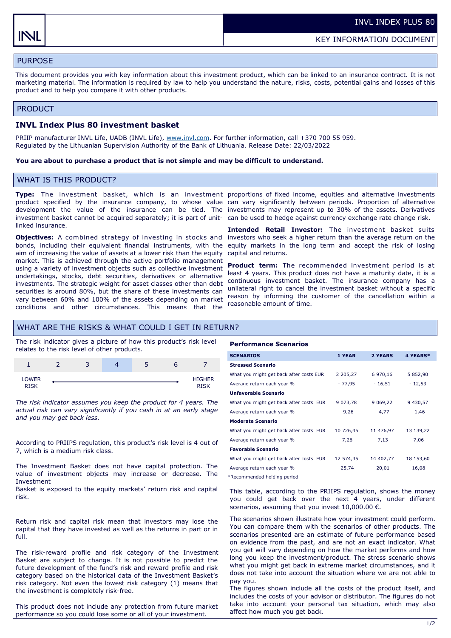# PURPOSE

This document provides you with key information about this investment product, which can be linked to an insurance contract. It is not marketing material. The information is required by law to help you understand the nature, risks, costs, potential gains and losses of this product and to help you compare it with other products.

## PRODUCT

# **INVL Index Plus 80 investment basket**

PRIIP manufacturer INVL Life, UADB (INVL Life), [www.invl.com.](http://www.invl.com) For further information, call +370 700 55 959. Regulated by the Lithuanian Supervision Authority of the Bank of Lithuania. Release Date: 22/03/2022

## **You are about to purchase a product that is not simple and may be difficult to understand.**

# WHAT IS THIS PRODUCT?

investment basket cannot be acquired separately; it is part of unit-can be used to hedge against currency exchange rate change risk. linked insurance.

**Objectives:** A combined strategy of investing in stocks and bonds, including their equivalent financial instruments, with the equity markets in the long term and accept the risk of losing aim of increasing the value of assets at a lower risk than the equity market. This is achieved through the active portfolio management using a variety of investment objects such as collective investment undertakings, stocks, debt securities, derivatives or alternative investments. The strategic weight for asset classes other than debt securities is around 80%, but the share of these investments can vary between 60% and 100% of the assets depending on market conditions and other circumstances. This means that the

**Type:** The investment basket, which is an investment proportions of fixed income, equities and alternative investments product specified by the insurance company, to whose value can vary significantly between periods. Proportion of alternative development the value of the insurance can be tied. The investments may represent up to 30% of the assets. Derivatives

> **Intended Retail Investor:** The investment basket suits investors who seek a higher return than the average return on the capital and returns.

> **Product term:** The recommended investment period is at least 4 years. This product does not have a maturity date, it is a continuous investment basket. The insurance company has a unilateral right to cancel the investment basket without a specific reason by informing the customer of the cancellation within a reasonable amount of time.

# WHAT ARE THE RISKS & WHAT COULD I GET IN RETURN?

The risk indicator gives a picture of how this product's risk level relates to the risk level of other products.

|                | - | ∍<br>ت | ب |                              |
|----------------|---|--------|---|------------------------------|
| LOWER<br>DICIA |   |        |   | <b>HIGHER</b><br><b>OTCV</b> |

*The risk indicator assumes you keep the product for 4 years. The actual risk can vary significantly if you cash in at an early stage and you may get back less.* 

According to PRIIPS regulation, this product's risk level is 4 out of 7, which is a medium risk class.

The Investment Basket does not have capital protection. The value of investment objects may increase or decrease. The Investment

Basket is exposed to the equity markets' return risk and capital risk.

Return risk and capital risk mean that investors may lose the capital that they have invested as well as the returns in part or in full.

The risk-reward profile and risk category of the Investment Basket are subject to change. It is not possible to predict the future development of the fund's risk and reward profile and risk category based on the historical data of the Investment Basket's risk category. Not even the lowest risk category (1) means that the investment is completely risk-free.

This product does not include any protection from future market performance so you could lose some or all of your investment.

#### **Performance Scenarios**

| <b>SCENARIOS</b>                        | 1 YEAR        | 2 YEARS   | 4 YEARS*  |
|-----------------------------------------|---------------|-----------|-----------|
| <b>Stressed Scenario</b>                |               |           |           |
| What you might get back after costs EUR | 2 2 0 5 , 2 7 | 6 970,16  | 5 852,90  |
| Average return each year %              | - 77,95       | $-16,51$  | $-12,53$  |
| <b>Unfavorable Scenario</b>             |               |           |           |
| What you might get back after costs EUR | 9 0 7 3 , 7 8 | 9 0 69,22 | 9 430,57  |
| Average return each year %              | $-9,26$       | $-4,77$   | $-1,46$   |
| <b>Moderate Scenario</b>                |               |           |           |
| What you might get back after costs EUR | 10 726,45     | 11 476,97 | 13 139,22 |
| Average return each year %              | 7,26          | 7,13      | 7,06      |
| <b>Favorable Scenario</b>               |               |           |           |
| What you might get back after costs EUR | 12 574,35     | 14 402,77 | 18 153,60 |
| Average return each year %              | 25,74         | 20,01     | 16,08     |
|                                         |               |           |           |

\*Recommended holding period

This table, according to the PRIIPS regulation, shows the money you could get back over the next 4 years, under different scenarios, assuming that you invest  $10,000.00 \in$ .

The scenarios shown illustrate how your investment could perform. You can compare them with the scenarios of other products. The scenarios presented are an estimate of future performance based on evidence from the past, and are not an exact indicator. What you get will vary depending on how the market performs and how long you keep the investment/product. The stress scenario shows what you might get back in extreme market circumstances, and it does not take into account the situation where we are not able to pay you.

The figures shown include all the costs of the product itself, and includes the costs of your advisor or distributor. The figures do not take into account your personal tax situation, which may also affect how much you get back.